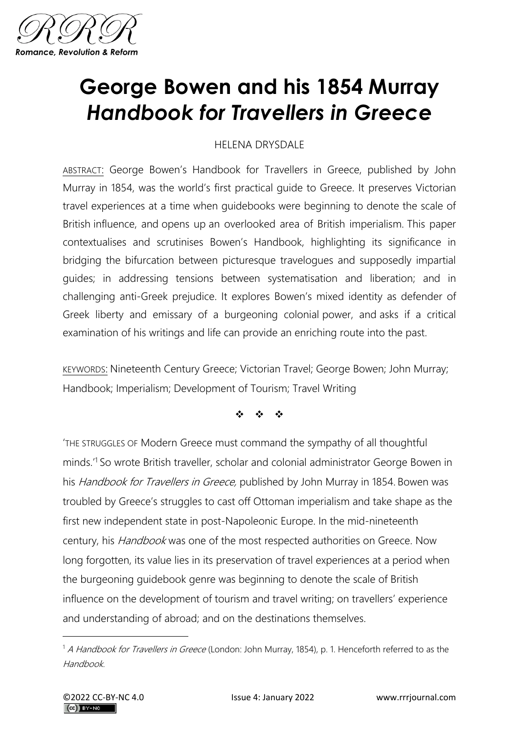

## **George Bowen and his 1854 Murray**  *Handbook for Travellers in Greece*

## HELENA DRYSDALE

ABSTRACT: George Bowen's Handbook for Travellers in Greece, published by John Murray in 1854, was the world's first practical guide to Greece. It preserves Victorian travel experiences at a time when guidebooks were beginning to denote the scale of British influence, and opens up an overlooked area of British imperialism. This paper contextualises and scrutinises Bowen's Handbook, highlighting its significance in bridging the bifurcation between picturesque travelogues and supposedly impartial guides; in addressing tensions between systematisation and liberation; and in challenging anti-Greek prejudice. It explores Bowen's mixed identity as defender of Greek liberty and emissary of a burgeoning colonial power, and asks if a critical examination of his writings and life can provide an enriching route into the past.

KEYWORDS: Nineteenth Century Greece; Victorian Travel; George Bowen; John Murray; Handbook; Imperialism; Development of Tourism; Travel Writing

❖ ❖ ❖

'THE STRUGGLES OF Modern Greece must command the sympathy of all thoughtful minds.'<sup>1</sup> So wrote British traveller, scholar and colonial administrator George Bowen in his Handbook for Travellers in Greece, published by John Murray in 1854. Bowen was troubled by Greece's struggles to cast off Ottoman imperialism and take shape as the first new independent state in post-Napoleonic Europe. In the mid-nineteenth century, his *Handbook* was one of the most respected authorities on Greece. Now long forgotten, its value lies in its preservation of travel experiences at a period when the burgeoning guidebook genre was beginning to denote the scale of British influence on the development of tourism and travel writing; on travellers' experience and understanding of abroad; and on the destinations themselves.

<sup>&</sup>lt;sup>1</sup> A Handbook for Travellers in Greece (London: John Murray, 1854), p. 1. Henceforth referred to as the Handbook.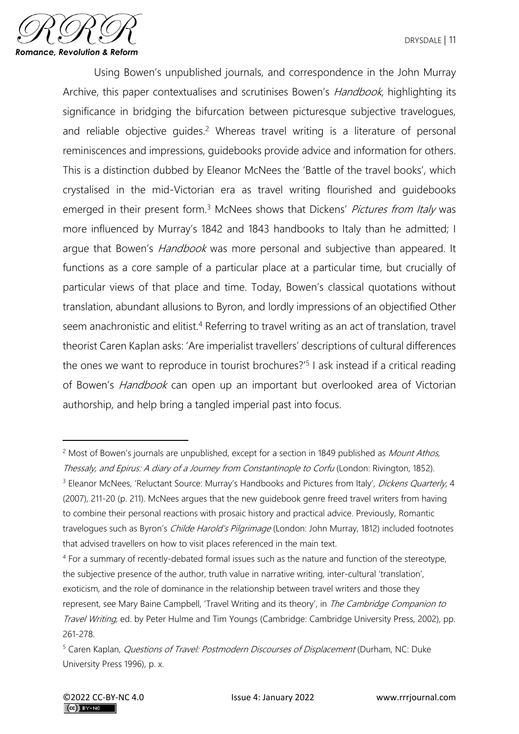

Using Bowen's unpublished journals, and correspondence in the John Murray Archive, this paper contextualises and scrutinises Bowen's *Handbook*, highlighting its significance in bridging the bifurcation between picturesque subjective travelogues, and reliable objective quides.<sup>2</sup> Whereas travel writing is a literature of personal reminiscences and impressions, guidebooks provide advice and information for others. This is a distinction dubbed by Eleanor McNees the 'Battle of the travel books', which crystalised in the mid-Victorian era as travel writing flourished and guidebooks emerged in their present form.<sup>3</sup> McNees shows that Dickens' Pictures from Italy was more influenced by Murray's 1842 and 1843 handbooks to Italy than he admitted; I argue that Bowen's *Handbook* was more personal and subjective than appeared. It functions as a core sample of a particular place at a particular time, but crucially of particular views of that place and time. Today, Bowen's classical quotations without translation, abundant allusions to Byron, and lordly impressions of an objectified Other seem anachronistic and elitist.<sup>4</sup> Referring to travel writing as an act of translation, travel theorist Caren Kaplan asks: 'Are imperialist travellers' descriptions of cultural differences the ones we want to reproduce in tourist brochures?<sup>'5</sup> I ask instead if a critical reading of Bowen's *Handbook* can open up an important but overlooked area of Victorian authorship, and help bring a tangled imperial past into focus.

<sup>&</sup>lt;sup>2</sup> Most of Bowen's journals are unpublished, except for a section in 1849 published as *Mount Athos*, Thessaly, and Epirus: A diary of a Journey from Constantinople to Corfu (London: Rivington, 1852).

<sup>&</sup>lt;sup>3</sup> Eleanor McNees, 'Reluctant Source: Murray's Handbooks and Pictures from Italy', *Dickens Quarterly*, 4 (2007), 211-20 (p. 211). McNees argues that the new guidebook genre freed travel writers from having to combine their personal reactions with prosaic history and practical advice. Previously, Romantic travelogues such as Byron's Childe Harold's Pilgrimage (London: John Murray, 1812) included footnotes that advised travellers on how to visit places referenced in the main text.

<sup>4</sup> For a summary of recently-debated formal issues such as the nature and function of the stereotype, the subjective presence of the author, truth value in narrative writing, inter-cultural 'translation', exoticism, and the role of dominance in the relationship between travel writers and those they represent, see Mary Baine Campbell, 'Travel Writing and its theory', in The Cambridge Companion to Travel Writing, ed. by Peter Hulme and Tim Youngs (Cambridge: Cambridge University Press, 2002), pp. 261-278.

<sup>&</sup>lt;sup>5</sup> Caren Kaplan, *Questions of Travel: Postmodern Discourses of Displacement* (Durham, NC: Duke University Press 1996), p. x.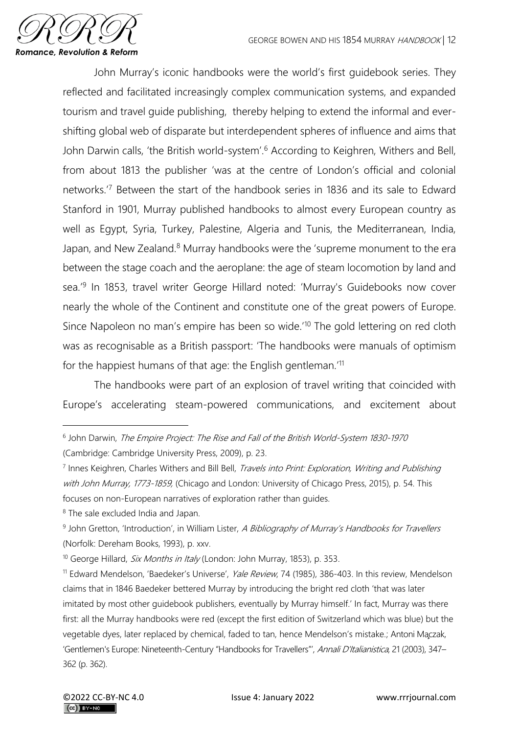

John Murray's iconic handbooks were the world's first guidebook series. They reflected and facilitated increasingly complex communication systems, and expanded tourism and travel guide publishing, thereby helping to extend the informal and evershifting global web of disparate but interdependent spheres of influence and aims that John Darwin calls, 'the British world-system'.<sup>6</sup> According to Keighren, Withers and Bell, from about 1813 the publisher 'was at the centre of London's official and colonial networks.'<sup>7</sup> Between the start of the handbook series in 1836 and its sale to Edward Stanford in 1901, Murray published handbooks to almost every European country as well as Egypt, Syria, Turkey, Palestine, Algeria and Tunis, the Mediterranean, India, Japan, and New Zealand.<sup>8</sup> Murray handbooks were the 'supreme monument to the era between the stage coach and the aeroplane: the age of steam locomotion by land and sea.<sup>'9</sup> In 1853, travel writer George Hillard noted: 'Murray's Guidebooks now cover nearly the whole of the Continent and constitute one of the great powers of Europe. Since Napoleon no man's empire has been so wide.'<sup>10</sup> The gold lettering on red cloth was as recognisable as a British passport: 'The handbooks were manuals of optimism for the happiest humans of that age: the English gentleman.'<sup>11</sup>

The handbooks were part of an explosion of travel writing that coincided with Europe's accelerating steam-powered communications, and excitement about

<sup>8</sup> The sale excluded India and Japan.

<sup>&</sup>lt;sup>6</sup> John Darwin, The Empire Project: The Rise and Fall of the British World-System 1830-1970 (Cambridge: Cambridge University Press, 2009), p. 23.

<sup>&</sup>lt;sup>7</sup> Innes Keighren, Charles Withers and Bill Bell, *Travels into Print: Exploration, Writing and Publishing* with John Murray, 1773-1859, (Chicago and London: University of Chicago Press, 2015), p. 54. This focuses on non-European narratives of exploration rather than guides.

<sup>&</sup>lt;sup>9</sup> John Gretton, 'Introduction', in William Lister, A Bibliography of Murray's Handbooks for Travellers (Norfolk: Dereham Books, 1993), p. xxv.

<sup>&</sup>lt;sup>10</sup> George Hillard, *Six Months in Italy* (London: John Murray, 1853), p. 353.

<sup>&</sup>lt;sup>11</sup> Edward Mendelson, 'Baedeker's Universe', Yale Review, 74 (1985), 386-403. In this review, Mendelson claims that in 1846 Baedeker bettered Murray by introducing the bright red cloth 'that was later imitated by most other guidebook publishers, eventually by Murray himself.' In fact, Murray was there first: all the Murray handbooks were red (except the first edition of Switzerland which was blue) but the vegetable dyes, later replaced by chemical, faded to tan, hence Mendelson's mistake.; Antoni Ma̧czak, 'Gentlemen's Europe: Nineteenth-Century "Handbooks for Travellers"', Annali D'Italianistica, 21 (2003), 347-362 (p. 362).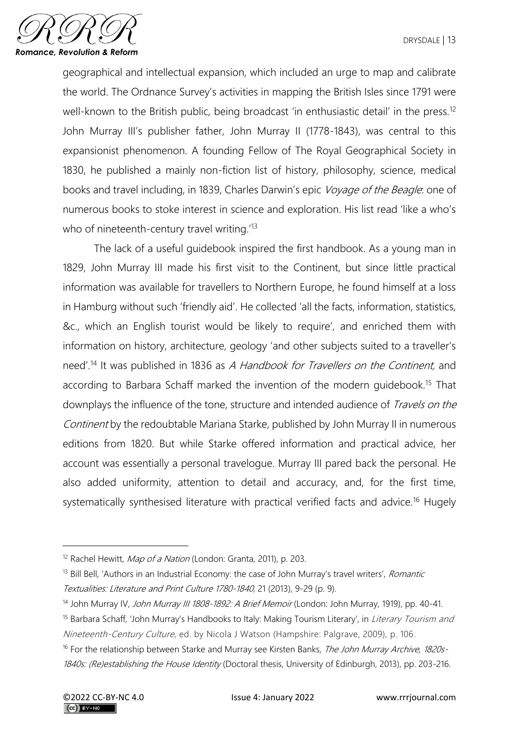

geographical and intellectual expansion, which included an urge to map and calibrate the world. The Ordnance Survey's activities in mapping the British Isles since 1791 were well-known to the British public, being broadcast 'in enthusiastic detail' in the press.<sup>12</sup> John Murray III's publisher father, John Murray II (1778-1843), was central to this expansionist phenomenon. A founding Fellow of The Royal Geographical Society in 1830, he published a mainly non-fiction list of history, philosophy, science, medical books and travel including, in 1839, Charles Darwin's epic Voyage of the Beagle. one of numerous books to stoke interest in science and exploration. His list read 'like a who's who of nineteenth-century travel writing.<sup>'13</sup>

The lack of a useful guidebook inspired the first handbook. As a young man in 1829, John Murray III made his first visit to the Continent, but since little practical information was available for travellers to Northern Europe, he found himself at a loss in Hamburg without such 'friendly aid'. He collected 'all the facts, information, statistics, &c., which an English tourist would be likely to require', and enriched them with information on history, architecture, geology 'and other subjects suited to a traveller's need'.<sup>14</sup> It was published in 1836 as A Handbook for Travellers on the Continent, and according to Barbara Schaff marked the invention of the modern quidebook.<sup>15</sup> That downplays the influence of the tone, structure and intended audience of *Travels on the* Continent by the redoubtable Mariana Starke, published by John Murray II in numerous editions from 1820. But while Starke offered information and practical advice, her account was essentially a personal travelogue. Murray III pared back the personal. He also added uniformity, attention to detail and accuracy, and, for the first time, systematically synthesised literature with practical verified facts and advice.<sup>16</sup> Hugely

<sup>&</sup>lt;sup>12</sup> Rachel Hewitt, *Map of a Nation* (London: Granta, 2011), p. 203.

<sup>&</sup>lt;sup>13</sup> Bill Bell, 'Authors in an Industrial Economy: the case of John Murray's travel writers', Romantic Textualities: Literature and Print Culture 1780-1840, 21 (2013), 9-29 (p. 9).

<sup>&</sup>lt;sup>14</sup> John Murray IV, John Murray III 1808-1892: A Brief Memoir (London: John Murray, 1919), pp. 40-41.

<sup>&</sup>lt;sup>15</sup> Barbara Schaff, 'John Murray's Handbooks to Italy: Making Tourism Literary', in *Literary Tourism and* Nineteenth-Century Culture, ed. by Nicola J Watson (Hampshire: Palgrave, 2009), p. 106.

<sup>&</sup>lt;sup>16</sup> For the relationship between Starke and Murray see Kirsten Banks, The John Murray Archive, 1820s-1840s: (Re)establishing the House Identity (Doctoral thesis, University of Edinburgh, 2013), pp. 203-216.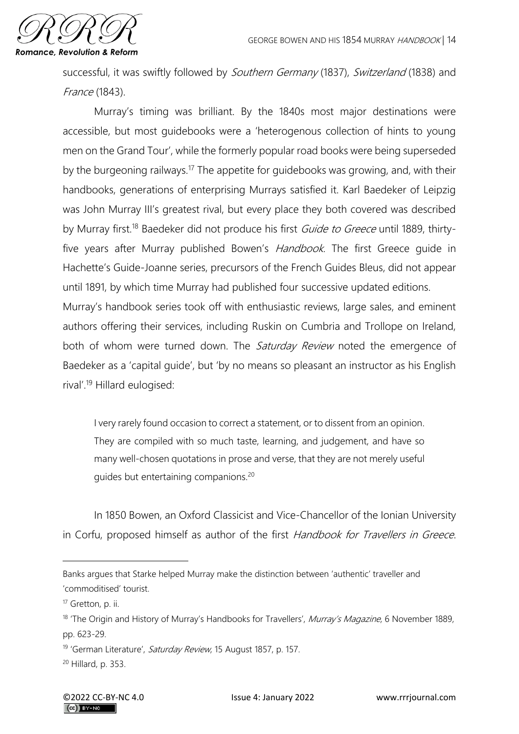

successful, it was swiftly followed by Southern Germany (1837), Switzerland (1838) and France (1843).

Murray's timing was brilliant. By the 1840s most major destinations were accessible, but most guidebooks were a 'heterogenous collection of hints to young men on the Grand Tour', while the formerly popular road books were being superseded by the burgeoning railways.<sup>17</sup> The appetite for guidebooks was growing, and, with their handbooks, generations of enterprising Murrays satisfied it. Karl Baedeker of Leipzig was John Murray III's greatest rival, but every place they both covered was described by Murray first.<sup>18</sup> Baedeker did not produce his first *Guide to Greece* until 1889, thirtyfive years after Murray published Bowen's Handbook. The first Greece guide in Hachette's Guide-Joanne series, precursors of the French Guides Bleus, did not appear until 1891, by which time Murray had published four successive updated editions. Murray's handbook series took off with enthusiastic reviews, large sales, and eminent authors offering their services, including Ruskin on Cumbria and Trollope on Ireland,

both of whom were turned down. The *Saturday Review* noted the emergence of Baedeker as a 'capital guide', but 'by no means so pleasant an instructor as his English rival'.<sup>19</sup> Hillard eulogised:

I very rarely found occasion to correct a statement, or to dissent from an opinion. They are compiled with so much taste, learning, and judgement, and have so many well-chosen quotations in prose and verse, that they are not merely useful guides but entertaining companions.<sup>20</sup>

In 1850 Bowen, an Oxford Classicist and Vice-Chancellor of the Ionian University in Corfu, proposed himself as author of the first Handbook for Travellers in Greece.

Banks argues that Starke helped Murray make the distinction between 'authentic' traveller and 'commoditised' tourist.

<sup>17</sup> Gretton, p. ii.

<sup>&</sup>lt;sup>18</sup> 'The Origin and History of Murray's Handbooks for Travellers', *Murray's Magazine*, 6 November 1889, pp. 623-29.

<sup>&</sup>lt;sup>19</sup> 'German Literature', Saturday Review, 15 August 1857, p. 157.

<sup>20</sup> Hillard, p. 353.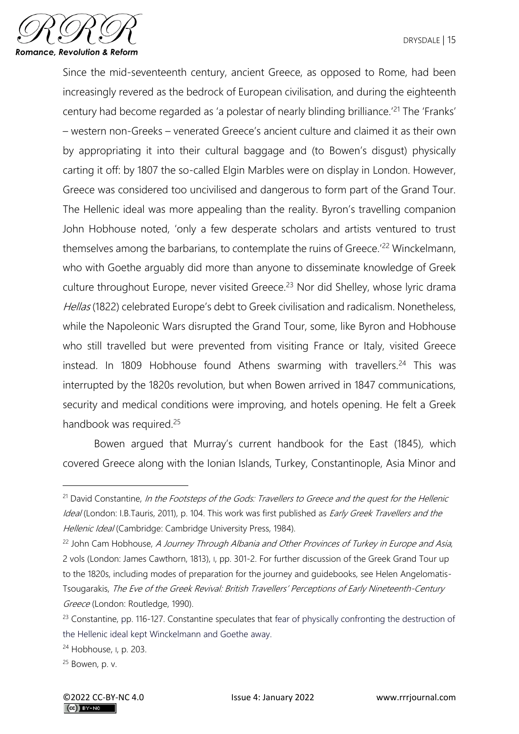

Since the mid-seventeenth century, ancient Greece, as opposed to Rome, had been increasingly revered as the bedrock of European civilisation, and during the eighteenth century had become regarded as 'a polestar of nearly blinding brilliance.<sup>'21</sup> The 'Franks' – western non-Greeks – venerated Greece's ancient culture and claimed it as their own by appropriating it into their cultural baggage and (to Bowen's disgust) physically carting it off: by 1807 the so-called Elgin Marbles were on display in London. However, Greece was considered too uncivilised and dangerous to form part of the Grand Tour. The Hellenic ideal was more appealing than the reality. Byron's travelling companion John Hobhouse noted, 'only a few desperate scholars and artists ventured to trust themselves among the barbarians, to contemplate the ruins of Greece.'<sup>22</sup> Winckelmann, who with Goethe arguably did more than anyone to disseminate knowledge of Greek culture throughout Europe, never visited Greece.<sup>23</sup> Nor did Shelley, whose lyric drama Hellas (1822) celebrated Europe's debt to Greek civilisation and radicalism. Nonetheless, while the Napoleonic Wars disrupted the Grand Tour, some, like Byron and Hobhouse who still travelled but were prevented from visiting France or Italy, visited Greece instead. In 1809 Hobhouse found Athens swarming with travellers.<sup>24</sup> This was interrupted by the 1820s revolution, but when Bowen arrived in 1847 communications, security and medical conditions were improving, and hotels opening. He felt a Greek handbook was required.<sup>25</sup>

Bowen argued that Murray's current handbook for the East (1845), which covered Greece along with the Ionian Islands, Turkey, Constantinople, Asia Minor and

<sup>&</sup>lt;sup>21</sup> David Constantine, In the Footsteps of the Gods: Travellers to Greece and the quest for the Hellenic Ideal (London: I.B.Tauris, 2011), p. 104. This work was first published as *Early Greek Travellers and the* Hellenic Ideal (Cambridge: Cambridge University Press, 1984).

<sup>&</sup>lt;sup>22</sup> John Cam Hobhouse, A Journey Through Albania and Other Provinces of Turkey in Europe and Asia, 2 vols (London: James Cawthorn, 1813), I, pp. 301-2. For further discussion of the Greek Grand Tour up to the 1820s, including modes of preparation for the journey and guidebooks, see Helen Angelomatis-Tsougarakis, The Eve of the Greek Revival: British Travellers' Perceptions of Early Nineteenth-Century Greece (London: Routledge, 1990).

<sup>&</sup>lt;sup>23</sup> Constantine, pp. 116-127. Constantine speculates that fear of physically confronting the destruction of the Hellenic ideal kept Winckelmann and Goethe away.

<sup>24</sup> Hobhouse, I, p. 203.

<sup>25</sup> Bowen, p. v.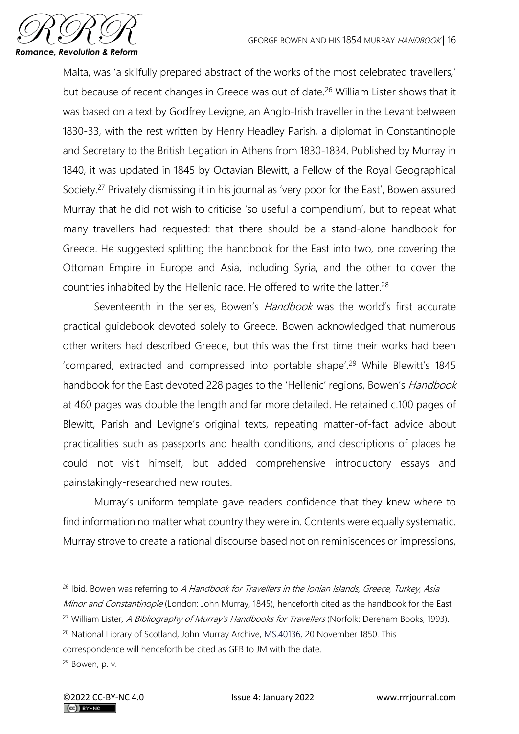

Malta, was 'a skilfully prepared abstract of the works of the most celebrated travellers,' but because of recent changes in Greece was out of date.<sup>26</sup> William Lister shows that it was based on a text by Godfrey Levigne, an Anglo-Irish traveller in the Levant between 1830-33, with the rest written by Henry Headley Parish, a diplomat in Constantinople and Secretary to the British Legation in Athens from 1830-1834. Published by Murray in 1840, it was updated in 1845 by Octavian Blewitt, a Fellow of the Royal Geographical Society.<sup>27</sup> Privately dismissing it in his journal as 'very poor for the East', Bowen assured Murray that he did not wish to criticise 'so useful a compendium', but to repeat what many travellers had requested: that there should be a stand-alone handbook for Greece. He suggested splitting the handbook for the East into two, one covering the Ottoman Empire in Europe and Asia, including Syria, and the other to cover the countries inhabited by the Hellenic race. He offered to write the latter.<sup>28</sup>

Seventeenth in the series, Bowen's *Handbook* was the world's first accurate practical guidebook devoted solely to Greece. Bowen acknowledged that numerous other writers had described Greece, but this was the first time their works had been 'compared, extracted and compressed into portable shape'.<sup>29</sup> While Blewitt's 1845 handbook for the East devoted 228 pages to the 'Hellenic' regions, Bowen's Handbook at 460 pages was double the length and far more detailed. He retained c.100 pages of Blewitt, Parish and Levigne's original texts, repeating matter-of-fact advice about practicalities such as passports and health conditions, and descriptions of places he could not visit himself, but added comprehensive introductory essays and painstakingly-researched new routes.

Murray's uniform template gave readers confidence that they knew where to find information no matter what country they were in. Contents were equally systematic. Murray strove to create a rational discourse based not on reminiscences or impressions,

<sup>&</sup>lt;sup>26</sup> Ibid. Bowen was referring to A Handbook for Travellers in the Ionian Islands, Greece, Turkey, Asia Minor and Constantinople (London: John Murray, 1845), henceforth cited as the handbook for the East

<sup>&</sup>lt;sup>27</sup> William Lister, A Bibliography of Murray's Handbooks for Travellers (Norfolk: Dereham Books, 1993).

<sup>&</sup>lt;sup>28</sup> National Library of Scotland, John Murray Archive, MS.40136, 20 November 1850. This

correspondence will henceforth be cited as GFB to JM with the date.

<sup>29</sup> Bowen, p. v.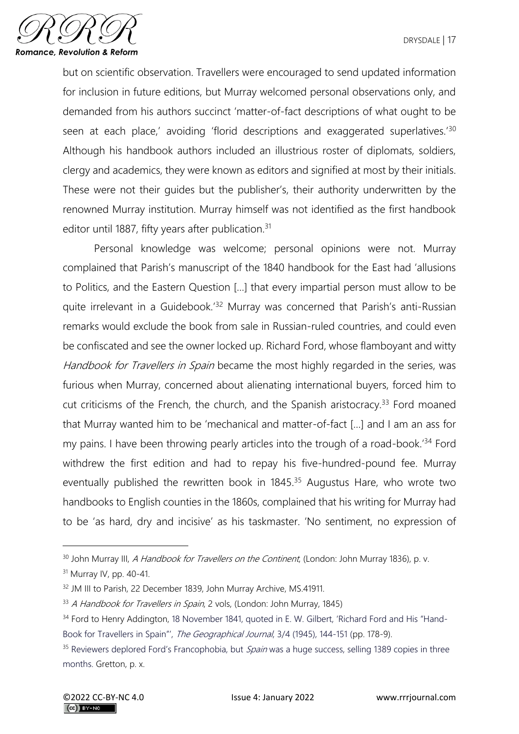

but on scientific observation. Travellers were encouraged to send updated information for inclusion in future editions, but Murray welcomed personal observations only, and demanded from his authors succinct 'matter-of-fact descriptions of what ought to be seen at each place,' avoiding 'florid descriptions and exaggerated superlatives.'<sup>30</sup> Although his handbook authors included an illustrious roster of diplomats, soldiers, clergy and academics, they were known as editors and signified at most by their initials. These were not their guides but the publisher's, their authority underwritten by the renowned Murray institution. Murray himself was not identified as the first handbook editor until 1887, fifty years after publication.<sup>31</sup>

Personal knowledge was welcome; personal opinions were not. Murray complained that Parish's manuscript of the 1840 handbook for the East had 'allusions to Politics, and the Eastern Question […] that every impartial person must allow to be quite irrelevant in a Guidebook.'<sup>32</sup> Murray was concerned that Parish's anti-Russian remarks would exclude the book from sale in Russian-ruled countries, and could even be confiscated and see the owner locked up. Richard Ford, whose flamboyant and witty Handbook for Travellers in Spain became the most highly regarded in the series, was furious when Murray, concerned about alienating international buyers, forced him to cut criticisms of the French, the church, and the Spanish aristocracy.<sup>33</sup> Ford moaned that Murray wanted him to be 'mechanical and matter-of-fact […] and I am an ass for my pains. I have been throwing pearly articles into the trough of a road-book.<sup>34</sup> Ford withdrew the first edition and had to repay his five-hundred-pound fee. Murray eventually published the rewritten book in 1845.<sup>35</sup> Augustus Hare, who wrote two handbooks to English counties in the 1860s, complained that his writing for Murray had to be 'as hard, dry and incisive' as his taskmaster. 'No sentiment, no expression of

<sup>&</sup>lt;sup>30</sup> John Murray III, *A Handbook for Travellers on the Continent*, (London: John Murray 1836), p. v.

<sup>&</sup>lt;sup>31</sup> Murray IV, pp. 40-41.

<sup>&</sup>lt;sup>32</sup> JM III to Parish, 22 December 1839, John Murray Archive, MS.41911.

<sup>&</sup>lt;sup>33</sup> A Handbook for Travellers in Spain, 2 vols, (London: John Murray, 1845)

<sup>&</sup>lt;sup>34</sup> Ford to Henry Addington, 18 November 1841, quoted in E. W. Gilbert, 'Richard Ford and His "Hand-Book for Travellers in Spain"', The Geographical Journal, 3/4 (1945), 144-151 (pp. 178-9).

<sup>&</sup>lt;sup>35</sup> Reviewers deplored Ford's Francophobia, but Spain was a huge success, selling 1389 copies in three months. Gretton, p. x.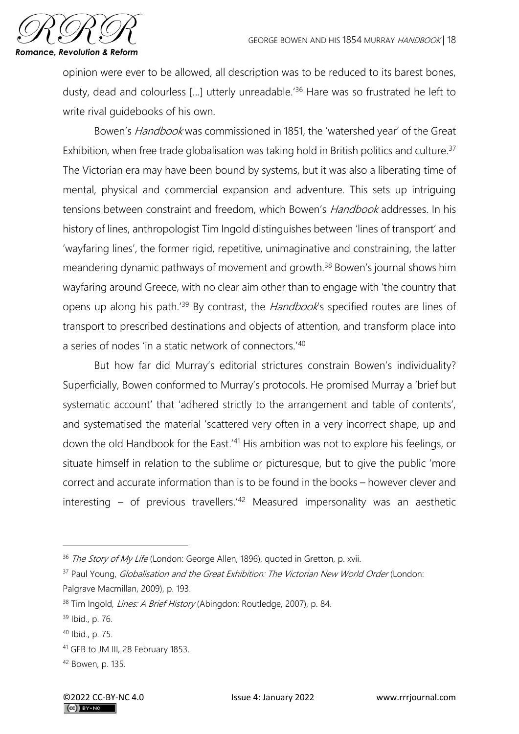

opinion were ever to be allowed, all description was to be reduced to its barest bones, dusty, dead and colourless […] utterly unreadable.'<sup>36</sup> Hare was so frustrated he left to write rival guidebooks of his own.

Bowen's Handbook was commissioned in 1851, the 'watershed year' of the Great Exhibition, when free trade globalisation was taking hold in British politics and culture.<sup>37</sup> The Victorian era may have been bound by systems, but it was also a liberating time of mental, physical and commercial expansion and adventure. This sets up intriguing tensions between constraint and freedom, which Bowen's *Handbook* addresses. In his history of lines, anthropologist Tim Ingold distinguishes between 'lines of transport' and 'wayfaring lines', the former rigid, repetitive, unimaginative and constraining, the latter meandering dynamic pathways of movement and growth.<sup>38</sup> Bowen's journal shows him wayfaring around Greece, with no clear aim other than to engage with 'the country that opens up along his path.<sup>'39</sup> By contrast, the Handbook's specified routes are lines of transport to prescribed destinations and objects of attention, and transform place into a series of nodes 'in a static network of connectors.'<sup>40</sup>

But how far did Murray's editorial strictures constrain Bowen's individuality? Superficially, Bowen conformed to Murray's protocols. He promised Murray a 'brief but systematic account' that 'adhered strictly to the arrangement and table of contents', and systematised the material 'scattered very often in a very incorrect shape, up and down the old Handbook for the East.' <sup>41</sup> His ambition was not to explore his feelings, or situate himself in relation to the sublime or picturesque, but to give the public 'more correct and accurate information than is to be found in the books – however clever and interesting – of previous travellers.<sup>'42</sup> Measured impersonality was an aesthetic

<sup>&</sup>lt;sup>36</sup> The Story of My Life (London: George Allen, 1896), quoted in Gretton, p. xvii.

<sup>&</sup>lt;sup>37</sup> Paul Young, *Globalisation and the Great Exhibition: The Victorian New World Order* (London: Palgrave Macmillan, 2009), p. 193.

<sup>&</sup>lt;sup>38</sup> Tim Ingold, *Lines: A Brief History* (Abingdon: Routledge, 2007), p. 84.

<sup>39</sup> Ibid., p. 76.

<sup>40</sup> Ibid., p. 75.

<sup>41</sup> GFB to JM III, 28 February 1853.

<sup>42</sup> Bowen, p. 135.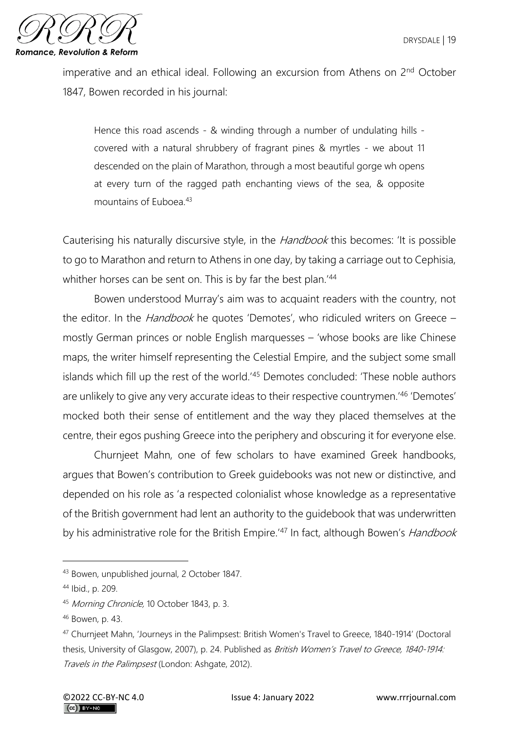

imperative and an ethical ideal. Following an excursion from Athens on 2<sup>nd</sup> October 1847, Bowen recorded in his journal:

Hence this road ascends - & winding through a number of undulating hills covered with a natural shrubbery of fragrant pines & myrtles - we about 11 descended on the plain of Marathon, through a most beautiful gorge wh opens at every turn of the ragged path enchanting views of the sea, & opposite mountains of Euboea.<sup>43</sup>

Cauterising his naturally discursive style, in the Handbook this becomes: 'It is possible to go to Marathon and return to Athens in one day, by taking a carriage out to Cephisia, whither horses can be sent on. This is by far the best plan.<sup>'44</sup>

Bowen understood Murray's aim was to acquaint readers with the country, not the editor. In the *Handbook* he quotes 'Demotes', who ridiculed writers on Greece – mostly German princes or noble English marquesses – 'whose books are like Chinese maps, the writer himself representing the Celestial Empire, and the subject some small islands which fill up the rest of the world.'45 Demotes concluded: 'These noble authors are unlikely to give any very accurate ideas to their respective countrymen.'<sup>46</sup> 'Demotes' mocked both their sense of entitlement and the way they placed themselves at the centre, their egos pushing Greece into the periphery and obscuring it for everyone else.

Churnjeet Mahn, one of few scholars to have examined Greek handbooks, argues that Bowen's contribution to Greek guidebooks was not new or distinctive, and depended on his role as 'a respected colonialist whose knowledge as a representative of the British government had lent an authority to the guidebook that was underwritten by his administrative role for the British Empire.<sup>'47</sup> In fact, although Bowen's *Handbook* 

<sup>43</sup> Bowen, unpublished journal, 2 October 1847.

<sup>44</sup> Ibid., p. 209.

<sup>45</sup> Morning Chronicle, 10 October 1843, p. 3.

<sup>46</sup> Bowen, p. 43.

<sup>47</sup> Churnjeet Mahn, 'Journeys in the Palimpsest: British Women's Travel to Greece, 1840-1914' (Doctoral thesis, University of Glasgow, 2007), p. 24. Published as British Women's Travel to Greece, 1840-1914: Travels in the Palimpsest (London: Ashgate, 2012).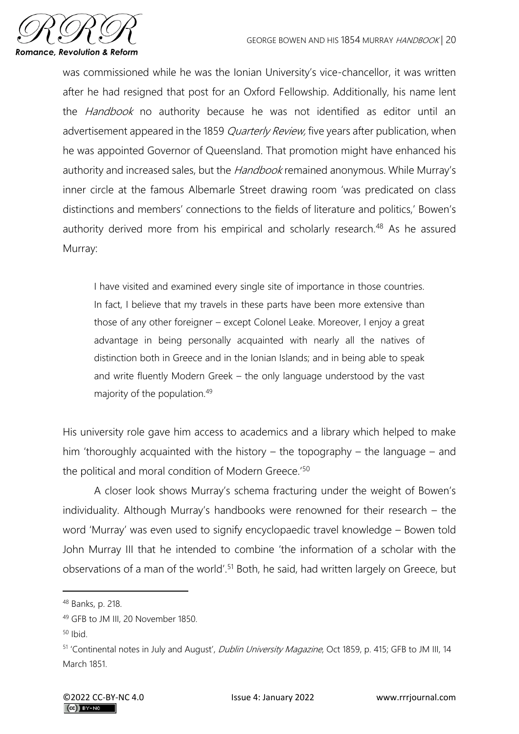

was commissioned while he was the Ionian University's vice-chancellor, it was written after he had resigned that post for an Oxford Fellowship. Additionally, his name lent the *Handbook* no authority because he was not identified as editor until an advertisement appeared in the 1859 *Quarterly Review*, five years after publication, when he was appointed Governor of Queensland. That promotion might have enhanced his authority and increased sales, but the *Handbook* remained anonymous. While Murray's inner circle at the famous Albemarle Street drawing room 'was predicated on class distinctions and members' connections to the fields of literature and politics,' Bowen's authority derived more from his empirical and scholarly research.<sup>48</sup> As he assured Murray:

I have visited and examined every single site of importance in those countries. In fact, I believe that my travels in these parts have been more extensive than those of any other foreigner – except Colonel Leake. Moreover, I enjoy a great advantage in being personally acquainted with nearly all the natives of distinction both in Greece and in the Ionian Islands; and in being able to speak and write fluently Modern Greek – the only language understood by the vast majority of the population.<sup>49</sup>

His university role gave him access to academics and a library which helped to make him 'thoroughly acquainted with the history – the topography – the language – and the political and moral condition of Modern Greece.<sup>'50</sup>

A closer look shows Murray's schema fracturing under the weight of Bowen's individuality. Although Murray's handbooks were renowned for their research – the word 'Murray' was even used to signify encyclopaedic travel knowledge – Bowen told John Murray III that he intended to combine 'the information of a scholar with the observations of a man of the world'.<sup>51</sup> Both, he said, had written largely on Greece, but

<sup>48</sup> Banks, p. 218.

<sup>49</sup> GFB to JM III, 20 November 1850.

 $50$  Ibid.

<sup>51 &#</sup>x27;Continental notes in July and August', Dublin University Magazine, Oct 1859, p. 415; GFB to JM III, 14 March 1851.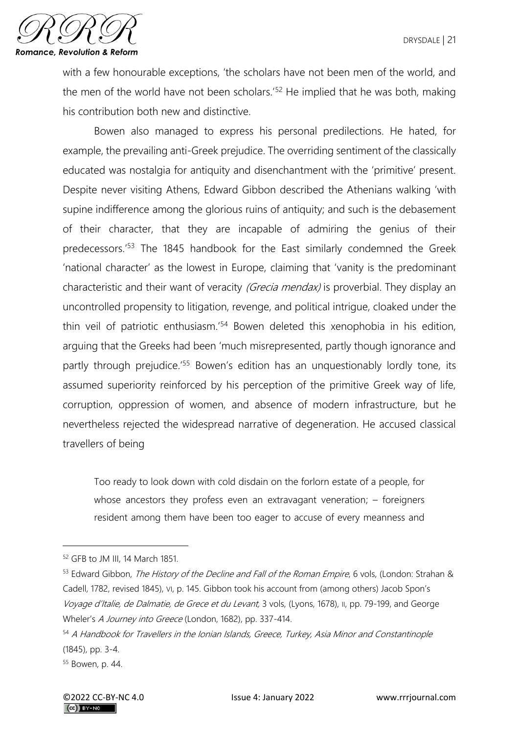

with a few honourable exceptions, 'the scholars have not been men of the world, and the men of the world have not been scholars.<sup>'52</sup> He implied that he was both, making his contribution both new and distinctive.

Bowen also managed to express his personal predilections. He hated, for example, the prevailing anti-Greek prejudice. The overriding sentiment of the classically educated was nostalgia for antiquity and disenchantment with the 'primitive' present. Despite never visiting Athens, Edward Gibbon described the Athenians walking 'with supine indifference among the glorious ruins of antiquity; and such is the debasement of their character, that they are incapable of admiring the genius of their predecessors.'<sup>53</sup> The 1845 handbook for the East similarly condemned the Greek 'national character' as the lowest in Europe, claiming that 'vanity is the predominant characteristic and their want of veracity (Grecia mendax) is proverbial. They display an uncontrolled propensity to litigation, revenge, and political intrigue, cloaked under the thin veil of patriotic enthusiasm.'<sup>54</sup> Bowen deleted this xenophobia in his edition, arguing that the Greeks had been 'much misrepresented, partly though ignorance and partly through prejudice.<sup>'55</sup> Bowen's edition has an unquestionably lordly tone, its assumed superiority reinforced by his perception of the primitive Greek way of life, corruption, oppression of women, and absence of modern infrastructure, but he nevertheless rejected the widespread narrative of degeneration. He accused classical travellers of being

Too ready to look down with cold disdain on the forlorn estate of a people, for whose ancestors they profess even an extravagant veneration; – foreigners resident among them have been too eager to accuse of every meanness and

<sup>52</sup> GFB to JM III, 14 March 1851.

<sup>53</sup> Edward Gibbon, The History of the Decline and Fall of the Roman Empire, 6 vols, (London: Strahan & Cadell, 1782, revised 1845), VI, p. 145. Gibbon took his account from (among others) Jacob Spon's Voyage d'Italie, de Dalmatie, de Grece et du Levant, 3 vols, (Lyons, 1678), II, pp. 79-199, and George Wheler's A Journey into Greece (London, 1682), pp. 337-414.

<sup>54</sup> A Handbook for Travellers in the Ionian Islands, Greece, Turkey, Asia Minor and Constantinople (1845), pp. 3-4.

<sup>55</sup> Bowen, p. 44.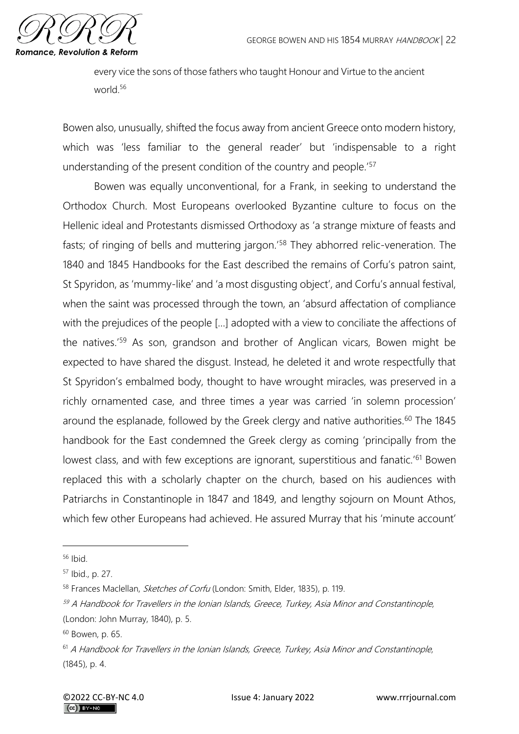

every vice the sons of those fathers who taught Honour and Virtue to the ancient world.<sup>56</sup>

Bowen also, unusually, shifted the focus away from ancient Greece onto modern history, which was 'less familiar to the general reader' but 'indispensable to a right understanding of the present condition of the country and people.<sup>'57</sup>

Bowen was equally unconventional, for a Frank, in seeking to understand the Orthodox Church. Most Europeans overlooked Byzantine culture to focus on the Hellenic ideal and Protestants dismissed Orthodoxy as 'a strange mixture of feasts and fasts; of ringing of bells and muttering jargon.'<sup>58</sup> They abhorred relic-veneration. The 1840 and 1845 Handbooks for the East described the remains of Corfu's patron saint, St Spyridon, as 'mummy-like' and 'a most disgusting object', and Corfu's annual festival, when the saint was processed through the town, an 'absurd affectation of compliance with the prejudices of the people […] adopted with a view to conciliate the affections of the natives.'<sup>59</sup> As son, grandson and brother of Anglican vicars, Bowen might be expected to have shared the disgust. Instead, he deleted it and wrote respectfully that St Spyridon's embalmed body, thought to have wrought miracles, was preserved in a richly ornamented case, and three times a year was carried 'in solemn procession' around the esplanade, followed by the Greek clergy and native authorities.<sup>60</sup> The 1845 handbook for the East condemned the Greek clergy as coming 'principally from the lowest class, and with few exceptions are ignorant, superstitious and fanatic.<sup>'61</sup> Bowen replaced this with a scholarly chapter on the church, based on his audiences with Patriarchs in Constantinople in 1847 and 1849, and lengthy sojourn on Mount Athos, which few other Europeans had achieved. He assured Murray that his 'minute account'

<sup>56</sup> Ibid.

<sup>57</sup> Ibid., p. 27.

<sup>58</sup> Frances Maclellan, *Sketches of Corfu* (London: Smith, Elder, 1835), p. 119.

 $59$  A Handbook for Travellers in the Ionian Islands, Greece, Turkey, Asia Minor and Constantinople, (London: John Murray, 1840), p. 5.

<sup>60</sup> Bowen, p. 65.

<sup>&</sup>lt;sup>61</sup> A Handbook for Travellers in the Ionian Islands, Greece, Turkey, Asia Minor and Constantinople, (1845), p. 4.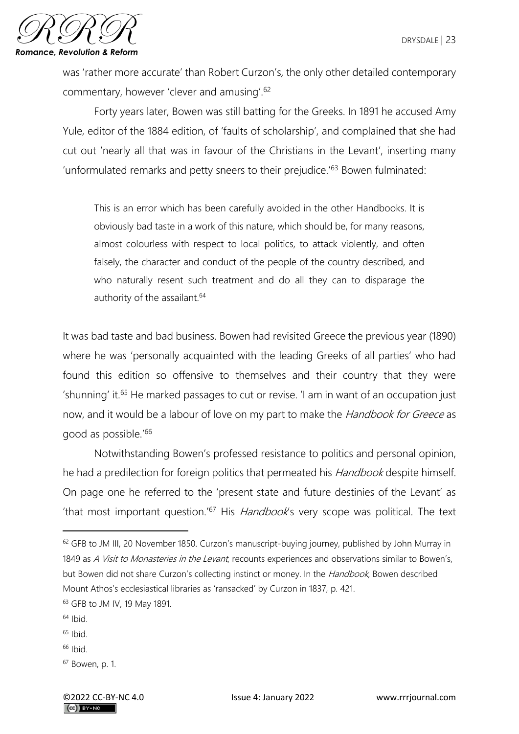

was 'rather more accurate' than Robert Curzon's, the only other detailed contemporary commentary, however 'clever and amusing'.<sup>62</sup>

Forty years later, Bowen was still batting for the Greeks. In 1891 he accused Amy Yule, editor of the 1884 edition, of 'faults of scholarship', and complained that she had cut out 'nearly all that was in favour of the Christians in the Levant', inserting many 'unformulated remarks and petty sneers to their prejudice.'<sup>63</sup> Bowen fulminated:

This is an error which has been carefully avoided in the other Handbooks. It is obviously bad taste in a work of this nature, which should be, for many reasons, almost colourless with respect to local politics, to attack violently, and often falsely, the character and conduct of the people of the country described, and who naturally resent such treatment and do all they can to disparage the authority of the assailant.<sup>64</sup>

It was bad taste and bad business. Bowen had revisited Greece the previous year (1890) where he was 'personally acquainted with the leading Greeks of all parties' who had found this edition so offensive to themselves and their country that they were 'shunning' it.<sup>65</sup> He marked passages to cut or revise. 'I am in want of an occupation just now, and it would be a labour of love on my part to make the *Handbook for Greece* as good as possible.'<sup>66</sup>

Notwithstanding Bowen's professed resistance to politics and personal opinion, he had a predilection for foreign politics that permeated his *Handbook* despite himself. On page one he referred to the 'present state and future destinies of the Levant' as 'that most important question.'<sup>67</sup> His *Handbook's* very scope was political. The text

- $64$  Ibid.
- $65$  Ibid.
- $66$  Ibid.
- <sup>67</sup> Bowen, p. 1.

<sup>&</sup>lt;sup>62</sup> GFB to JM III, 20 November 1850. Curzon's manuscript-buying journey, published by John Murray in 1849 as A Visit to Monasteries in the Levant, recounts experiences and observations similar to Bowen's, but Bowen did not share Curzon's collecting instinct or money. In the Handbook, Bowen described Mount Athos's ecclesiastical libraries as 'ransacked' by Curzon in 1837, p. 421.

<sup>63</sup> GFB to JM IV, 19 May 1891.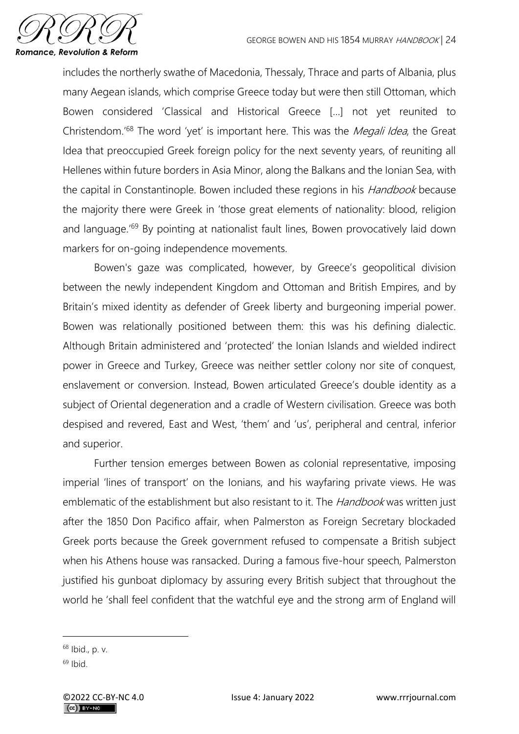

includes the northerly swathe of Macedonia, Thessaly, Thrace and parts of Albania, plus many Aegean islands, which comprise Greece today but were then still Ottoman, which Bowen considered 'Classical and Historical Greece […] not yet reunited to Christendom.<sup>'68</sup> The word 'yet' is important here. This was the *Megali Idea*, the Great Idea that preoccupied Greek foreign policy for the next seventy years, of reuniting all Hellenes within future borders in Asia Minor, along the Balkans and the Ionian Sea, with the capital in Constantinople. Bowen included these regions in his *Handbook* because the majority there were Greek in 'those great elements of nationality: blood, religion and language.<sup>'69</sup> By pointing at nationalist fault lines, Bowen provocatively laid down markers for on-going independence movements.

Bowen's gaze was complicated, however, by Greece's geopolitical division between the newly independent Kingdom and Ottoman and British Empires, and by Britain's mixed identity as defender of Greek liberty and burgeoning imperial power. Bowen was relationally positioned between them: this was his defining dialectic. Although Britain administered and 'protected' the Ionian Islands and wielded indirect power in Greece and Turkey, Greece was neither settler colony nor site of conquest, enslavement or conversion. Instead, Bowen articulated Greece's double identity as a subject of Oriental degeneration and a cradle of Western civilisation. Greece was both despised and revered, East and West, 'them' and 'us', peripheral and central, inferior and superior.

Further tension emerges between Bowen as colonial representative, imposing imperial 'lines of transport' on the Ionians, and his wayfaring private views. He was emblematic of the establishment but also resistant to it. The Handbook was written just after the 1850 Don Pacifico affair, when Palmerston as Foreign Secretary blockaded Greek ports because the Greek government refused to compensate a British subject when his Athens house was ransacked. During a famous five-hour speech, Palmerston justified his gunboat diplomacy by assuring every British subject that throughout the world he 'shall feel confident that the watchful eye and the strong arm of England will

<sup>68</sup> Ibid., p. v.

 $69$  Ibid.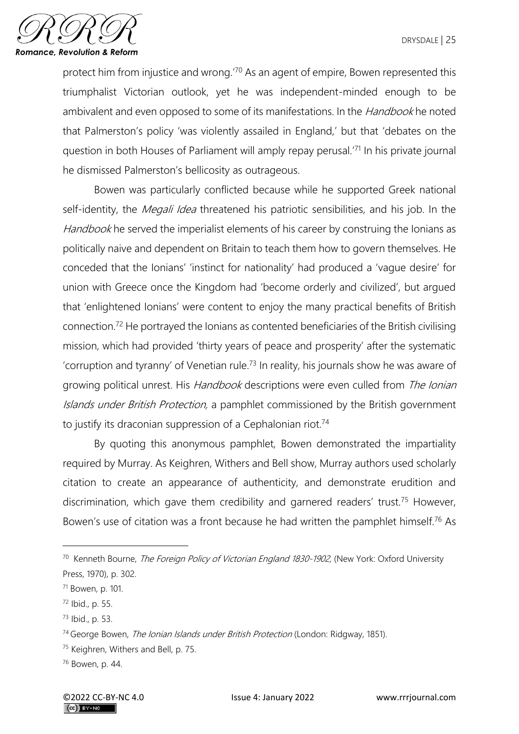

protect him from injustice and wrong.'<sup>70</sup> As an agent of empire, Bowen represented this triumphalist Victorian outlook, yet he was independent-minded enough to be ambivalent and even opposed to some of its manifestations. In the *Handbook* he noted that Palmerston's policy 'was violently assailed in England,' but that 'debates on the question in both Houses of Parliament will amply repay perusal.'<sup>71</sup> In his private journal he dismissed Palmerston's bellicosity as outrageous.

Bowen was particularly conflicted because while he supported Greek national self-identity, the *Megali Idea* threatened his patriotic sensibilities, and his job. In the Handbook he served the imperialist elements of his career by construing the Ionians as politically naive and dependent on Britain to teach them how to govern themselves. He conceded that the Ionians' 'instinct for nationality' had produced a 'vague desire' for union with Greece once the Kingdom had 'become orderly and civilized', but argued that 'enlightened Ionians' were content to enjoy the many practical benefits of British connection.<sup>72</sup> He portrayed the Ionians as contented beneficiaries of the British civilising mission, which had provided 'thirty years of peace and prosperity' after the systematic 'corruption and tyranny' of Venetian rule.<sup>73</sup> In reality, his journals show he was aware of growing political unrest. His Handbook descriptions were even culled from The Ionian Islands under British Protection, a pamphlet commissioned by the British government to justify its draconian suppression of a Cephalonian riot.<sup>74</sup>

By quoting this anonymous pamphlet, Bowen demonstrated the impartiality required by Murray. As Keighren, Withers and Bell show, Murray authors used scholarly citation to create an appearance of authenticity, and demonstrate erudition and discrimination, which gave them credibility and garnered readers' trust.<sup>75</sup> However, Bowen's use of citation was a front because he had written the pamphlet himself.<sup>76</sup> As

<sup>73</sup> Ibid., p. 53.

<sup>&</sup>lt;sup>70</sup> Kenneth Bourne, *The Foreign Policy of Victorian England 1830-1902*, (New York: Oxford University Press, 1970), p. 302.

<sup>71</sup> Bowen, p. 101.

<sup>72</sup> Ibid., p. 55.

<sup>&</sup>lt;sup>74</sup> George Bowen, *The Ionian Islands under British Protection* (London: Ridgway, 1851).

<sup>75</sup> Keighren, Withers and Bell, p. 75.

<sup>76</sup> Bowen, p. 44.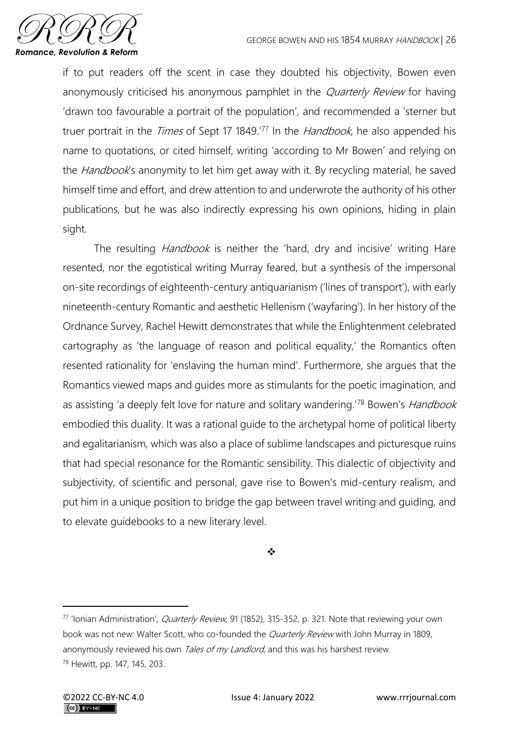

if to put readers off the scent in case they doubted his objectivity, Bowen even anonymously criticised his anonymous pamphlet in the *Quarterly Review* for having 'drawn too favourable a portrait of the population', and recommended a 'sterner but truer portrait in the *Times* of Sept 17 1849.<sup>'77</sup> In the *Handbook*, he also appended his name to quotations, or cited himself, writing 'according to Mr Bowen' and relying on the *Handbook's* anonymity to let him get away with it. By recycling material, he saved himself time and effort, and drew attention to and underwrote the authority of his other publications, but he was also indirectly expressing his own opinions, hiding in plain sight.

The resulting *Handbook* is neither the 'hard, dry and incisive' writing Hare resented, nor the egotistical writing Murray feared, but a synthesis of the impersonal on-site recordings of eighteenth-century antiquarianism ('lines of transport'), with early nineteenth-century Romantic and aesthetic Hellenism ('wayfaring'). In her history of the Ordnance Survey, Rachel Hewitt demonstrates that while the Enlightenment celebrated cartography as 'the language of reason and political equality,' the Romantics often resented rationality for 'enslaving the human mind'. Furthermore, she argues that the Romantics viewed maps and guides more as stimulants for the poetic imagination, and as assisting 'a deeply felt love for nature and solitary wandering.<sup>'78</sup> Bowen's *Handbook* embodied this duality. It was a rational guide to the archetypal home of political liberty and egalitarianism, which was also a place of sublime landscapes and picturesque ruins that had special resonance for the Romantic sensibility. This dialectic of objectivity and subjectivity, of scientific and personal, gave rise to Bowen's mid-century realism, and put him in a unique position to bridge the gap between travel writing and guiding, and to elevate guidebooks to a new literary level.

❖

<sup>77</sup> 'Ionian Administration', Quarterly Review, 91 (1852), 315-352, p. 321. Note that reviewing your own book was not new: Walter Scott, who co-founded the *Quarterly Review* with John Murray in 1809, anonymously reviewed his own Tales of my Landlord, and this was his harshest review. <sup>78</sup> Hewitt, pp. 147, 145, 203.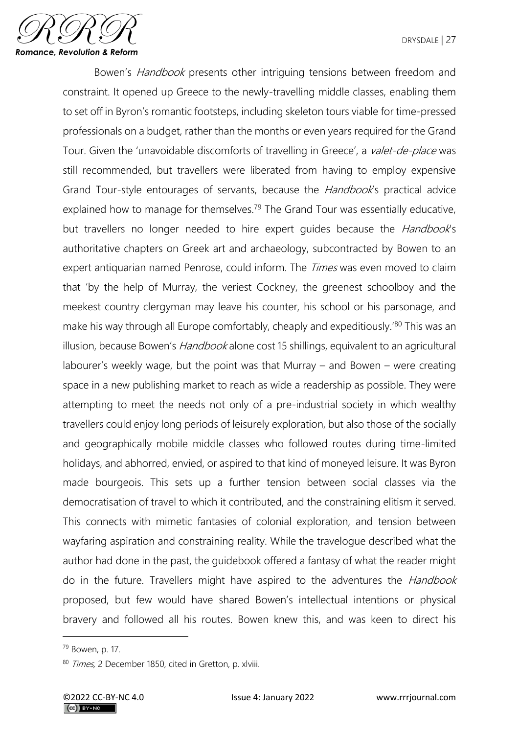

Bowen's *Handbook* presents other intriguing tensions between freedom and constraint. It opened up Greece to the newly-travelling middle classes, enabling them to set off in Byron's romantic footsteps, including skeleton tours viable for time-pressed professionals on a budget, rather than the months or even years required for the Grand Tour. Given the 'unavoidable discomforts of travelling in Greece', a valet-de-place was still recommended, but travellers were liberated from having to employ expensive Grand Tour-style entourages of servants, because the Handbook's practical advice explained how to manage for themselves.<sup>79</sup> The Grand Tour was essentially educative, but travellers no longer needed to hire expert quides because the *Handbook's* authoritative chapters on Greek art and archaeology, subcontracted by Bowen to an expert antiquarian named Penrose, could inform. The *Times* was even moved to claim that 'by the help of Murray, the veriest Cockney, the greenest schoolboy and the meekest country clergyman may leave his counter, his school or his parsonage, and make his way through all Europe comfortably, cheaply and expeditiously.'80 This was an illusion, because Bowen's *Handbook* alone cost 15 shillings, equivalent to an agricultural labourer's weekly wage, but the point was that Murray – and Bowen – were creating space in a new publishing market to reach as wide a readership as possible. They were attempting to meet the needs not only of a pre-industrial society in which wealthy travellers could enjoy long periods of leisurely exploration, but also those of the socially and geographically mobile middle classes who followed routes during time-limited holidays, and abhorred, envied, or aspired to that kind of moneyed leisure. It was Byron made bourgeois. This sets up a further tension between social classes via the democratisation of travel to which it contributed, and the constraining elitism it served. This connects with mimetic fantasies of colonial exploration, and tension between wayfaring aspiration and constraining reality. While the travelogue described what the author had done in the past, the guidebook offered a fantasy of what the reader might do in the future. Travellers might have aspired to the adventures the *Handbook* proposed, but few would have shared Bowen's intellectual intentions or physical bravery and followed all his routes. Bowen knew this, and was keen to direct his

<sup>79</sup> Bowen, p. 17.

<sup>80</sup> Times, 2 December 1850, cited in Gretton, p. xlviii.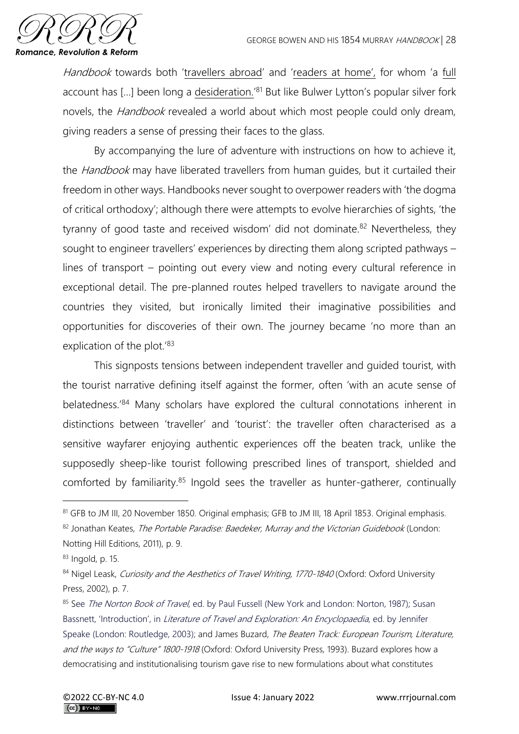

Handbook towards both 'travellers abroad' and 'readers at home', for whom 'a full account has [...] been long a desideration.<sup>'81</sup> But like Bulwer Lytton's popular silver fork novels, the *Handbook* revealed a world about which most people could only dream, giving readers a sense of pressing their faces to the glass.

By accompanying the lure of adventure with instructions on how to achieve it, the Handbook may have liberated travellers from human quides, but it curtailed their freedom in other ways. Handbooks never sought to overpower readers with 'the dogma of critical orthodoxy'; although there were attempts to evolve hierarchies of sights, 'the tyranny of good taste and received wisdom' did not dominate.<sup>82</sup> Nevertheless, they sought to engineer travellers' experiences by directing them along scripted pathways – lines of transport – pointing out every view and noting every cultural reference in exceptional detail. The pre-planned routes helped travellers to navigate around the countries they visited, but ironically limited their imaginative possibilities and opportunities for discoveries of their own. The journey became 'no more than an explication of the plot.<sup>'83</sup>

This signposts tensions between independent traveller and guided tourist, with the tourist narrative defining itself against the former, often 'with an acute sense of belatedness.'<sup>84</sup> Many scholars have explored the cultural connotations inherent in distinctions between 'traveller' and 'tourist': the traveller often characterised as a sensitive wayfarer enjoying authentic experiences off the beaten track, unlike the supposedly sheep-like tourist following prescribed lines of transport, shielded and comforted by familiarity. $85$  Ingold sees the traveller as hunter-gatherer, continually

<sup>81</sup> GFB to JM III, 20 November 1850. Original emphasis; GFB to JM III, 18 April 1853. Original emphasis.

<sup>82</sup> Jonathan Keates, The Portable Paradise: Baedeker, Murray and the Victorian Guidebook (London:

Notting Hill Editions, 2011), p. 9.

<sup>83</sup> Ingold, p. 15.

<sup>84</sup> Nigel Leask, Curiosity and the Aesthetics of Travel Writing, 1770-1840 (Oxford: Oxford University Press, 2002), p. 7.

<sup>&</sup>lt;sup>85</sup> See *The Norton Book of Travel*, ed. by Paul Fussell (New York and London: Norton, 1987); Susan Bassnett, 'Introduction', in Literature of Travel and Exploration: An Encyclopaedia, ed. by Jennifer Speake (London: Routledge, 2003); and James Buzard, The Beaten Track: European Tourism, Literature, and the ways to "Culture" 1800-1918 (Oxford: Oxford University Press, 1993). Buzard explores how a democratising and institutionalising tourism gave rise to new formulations about what constitutes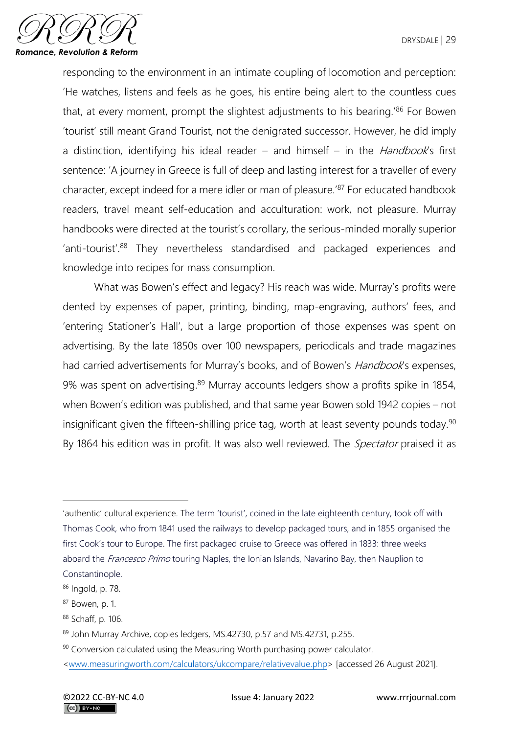

responding to the environment in an intimate coupling of locomotion and perception: 'He watches, listens and feels as he goes, his entire being alert to the countless cues that, at every moment, prompt the slightest adjustments to his bearing.<sup>'86</sup> For Bowen 'tourist' still meant Grand Tourist, not the denigrated successor. However, he did imply a distinction, identifying his ideal reader – and himself – in the *Handbook's* first sentence: 'A journey in Greece is full of deep and lasting interest for a traveller of every character, except indeed for a mere idler or man of pleasure.'<sup>87</sup> For educated handbook readers, travel meant self-education and acculturation: work, not pleasure. Murray handbooks were directed at the tourist's corollary, the serious-minded morally superior 'anti-tourist'.<sup>88</sup> They nevertheless standardised and packaged experiences and knowledge into recipes for mass consumption.

What was Bowen's effect and legacy? His reach was wide. Murray's profits were dented by expenses of paper, printing, binding, map-engraving, authors' fees, and 'entering Stationer's Hall', but a large proportion of those expenses was spent on advertising. By the late 1850s over 100 newspapers, periodicals and trade magazines had carried advertisements for Murray's books, and of Bowen's *Handbook's* expenses, 9% was spent on advertising.<sup>89</sup> Murray accounts ledgers show a profits spike in 1854, when Bowen's edition was published, and that same year Bowen sold 1942 copies – not insignificant given the fifteen-shilling price tag, worth at least seventy pounds today.<sup>90</sup> By 1864 his edition was in profit. It was also well reviewed. The *Spectator* praised it as

<sup>&#</sup>x27;authentic' cultural experience. The term 'tourist', coined in the late eighteenth century, took off with Thomas Cook, who from 1841 used the railways to develop packaged tours, and in 1855 organised the first Cook's tour to Europe. The first packaged cruise to Greece was offered in 1833: three weeks aboard the Francesco Primo touring Naples, the Ionian Islands, Navarino Bay, then Nauplion to Constantinople.

<sup>86</sup> Ingold, p. 78.

<sup>87</sup> Bowen, p. 1.

<sup>88</sup> Schaff, p. 106.

<sup>89</sup> John Murray Archive, copies ledgers, MS.42730, p.57 and MS.42731, p.255.

<sup>&</sup>lt;sup>90</sup> Conversion calculated using the Measuring Worth purchasing power calculator.

[<sup>&</sup>lt;www.measuringworth.com/calculators/ukcompare/relativevalue.php>](http://www.measuringworth.com/calculators/ukcompare/relativevalue.php) [accessed 26 August 2021].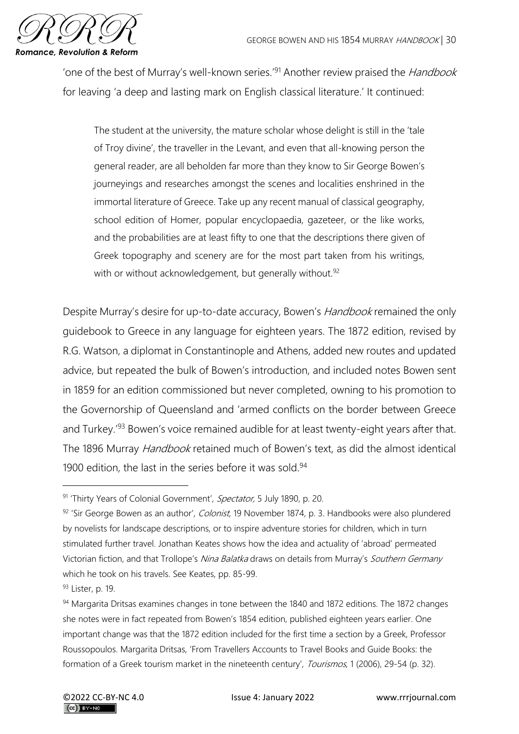

'one of the best of Murray's well-known series.<sup>'91</sup> Another review praised the *Handbook* for leaving 'a deep and lasting mark on English classical literature.' It continued:

The student at the university, the mature scholar whose delight is still in the 'tale of Troy divine', the traveller in the Levant, and even that all-knowing person the general reader, are all beholden far more than they know to Sir George Bowen's journeyings and researches amongst the scenes and localities enshrined in the immortal literature of Greece. Take up any recent manual of classical geography, school edition of Homer, popular encyclopaedia, gazeteer, or the like works, and the probabilities are at least fifty to one that the descriptions there given of Greek topography and scenery are for the most part taken from his writings, with or without acknowledgement, but generally without.<sup>92</sup>

Despite Murray's desire for up-to-date accuracy, Bowen's Handbook remained the only guidebook to Greece in any language for eighteen years. The 1872 edition, revised by R.G. Watson, a diplomat in Constantinople and Athens, added new routes and updated advice, but repeated the bulk of Bowen's introduction, and included notes Bowen sent in 1859 for an edition commissioned but never completed, owning to his promotion to the Governorship of Queensland and 'armed conflicts on the border between Greece and Turkey.<sup>'93</sup> Bowen's voice remained audible for at least twenty-eight years after that. The 1896 Murray *Handbook* retained much of Bowen's text, as did the almost identical 1900 edition, the last in the series before it was sold.<sup>94</sup>

93 Lister, p. 19.

<sup>91 &#</sup>x27;Thirty Years of Colonial Government', Spectator, 5 July 1890, p. 20.

<sup>92 &#</sup>x27;Sir George Bowen as an author', Colonist, 19 November 1874, p. 3. Handbooks were also plundered by novelists for landscape descriptions, or to inspire adventure stories for children, which in turn stimulated further travel. Jonathan Keates shows how the idea and actuality of 'abroad' permeated Victorian fiction, and that Trollope's Nina Balatka draws on details from Murray's Southern Germany which he took on his travels. See Keates, pp. 85-99.

<sup>94</sup> Margarita Dritsas examines changes in tone between the 1840 and 1872 editions. The 1872 changes she notes were in fact repeated from Bowen's 1854 edition, published eighteen years earlier. One important change was that the 1872 edition included for the first time a section by a Greek, Professor Roussopoulos. Margarita Dritsas, 'From Travellers Accounts to Travel Books and Guide Books: the formation of a Greek tourism market in the nineteenth century', Tourismos, 1 (2006), 29-54 (p. 32).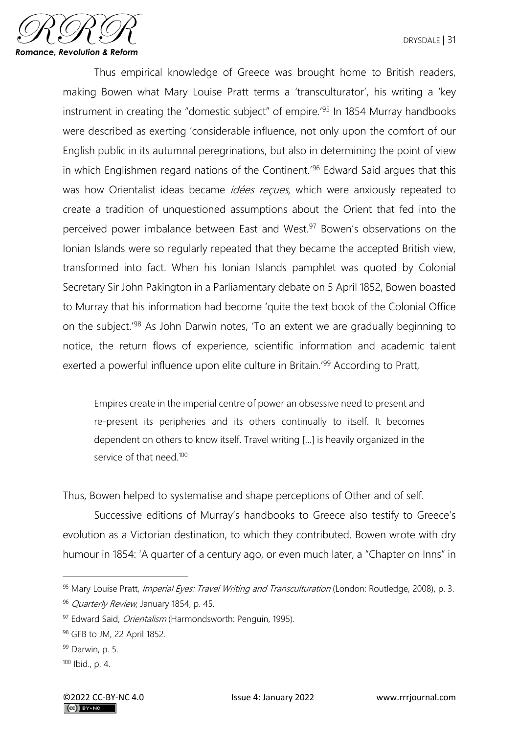

Thus empirical knowledge of Greece was brought home to British readers, making Bowen what Mary Louise Pratt terms a 'transculturator', his writing a 'key instrument in creating the "domestic subject" of empire.'<sup>95</sup> In 1854 Murray handbooks were described as exerting 'considerable influence, not only upon the comfort of our English public in its autumnal peregrinations, but also in determining the point of view in which Englishmen regard nations of the Continent.'<sup>96</sup> Edward Said argues that this was how Orientalist ideas became *idées reçues*, which were anxiously repeated to create a tradition of unquestioned assumptions about the Orient that fed into the perceived power imbalance between East and West.<sup>97</sup> Bowen's observations on the Ionian Islands were so regularly repeated that they became the accepted British view, transformed into fact. When his Ionian Islands pamphlet was quoted by Colonial Secretary Sir John Pakington in a Parliamentary debate on 5 April 1852, Bowen boasted to Murray that his information had become 'quite the text book of the Colonial Office on the subject.'<sup>98</sup> As John Darwin notes, 'To an extent we are gradually beginning to notice, the return flows of experience, scientific information and academic talent exerted a powerful influence upon elite culture in Britain.<sup>'99</sup> According to Pratt,

Empires create in the imperial centre of power an obsessive need to present and re-present its peripheries and its others continually to itself. It becomes dependent on others to know itself. Travel writing […] is heavily organized in the service of that need.<sup>100</sup>

Thus, Bowen helped to systematise and shape perceptions of Other and of self.

Successive editions of Murray's handbooks to Greece also testify to Greece's evolution as a Victorian destination, to which they contributed. Bowen wrote with dry humour in 1854: 'A quarter of a century ago, or even much later, a "Chapter on Inns" in

<sup>95</sup> Mary Louise Pratt, Imperial Eyes: Travel Writing and Transculturation (London: Routledge, 2008), p. 3.

<sup>96</sup> Quarterly Review, January 1854, p. 45.

<sup>97</sup> Edward Said, *Orientalism* (Harmondsworth: Penguin, 1995).

<sup>98</sup> GFB to JM, 22 April 1852.

<sup>99</sup> Darwin, p. 5.

 $100$  Ibid., p. 4.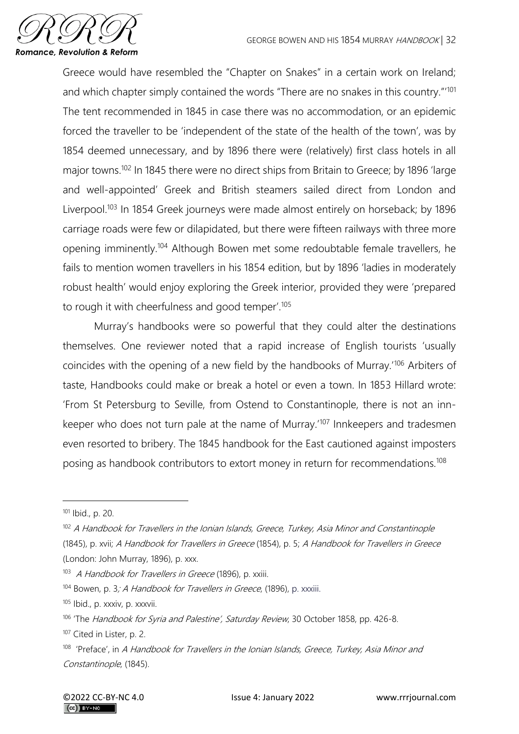

Greece would have resembled the "Chapter on Snakes" in a certain work on Ireland; and which chapter simply contained the words "There are no snakes in this country."'<sup>101</sup> The tent recommended in 1845 in case there was no accommodation, or an epidemic forced the traveller to be 'independent of the state of the health of the town', was by 1854 deemed unnecessary, and by 1896 there were (relatively) first class hotels in all major towns.<sup>102</sup> In 1845 there were no direct ships from Britain to Greece; by 1896 'large and well-appointed' Greek and British steamers sailed direct from London and Liverpool.<sup>103</sup> In 1854 Greek journeys were made almost entirely on horseback; by 1896 carriage roads were few or dilapidated, but there were fifteen railways with three more opening imminently.<sup>104</sup> Although Bowen met some redoubtable female travellers, he fails to mention women travellers in his 1854 edition, but by 1896 'ladies in moderately robust health' would enjoy exploring the Greek interior, provided they were 'prepared to rough it with cheerfulness and good temper'.<sup>105</sup>

Murray's handbooks were so powerful that they could alter the destinations themselves. One reviewer noted that a rapid increase of English tourists 'usually coincides with the opening of a new field by the handbooks of Murray.'<sup>106</sup> Arbiters of taste, Handbooks could make or break a hotel or even a town. In 1853 Hillard wrote: 'From St Petersburg to Seville, from Ostend to Constantinople, there is not an innkeeper who does not turn pale at the name of Murray.'<sup>107</sup> Innkeepers and tradesmen even resorted to bribery. The 1845 handbook for the East cautioned against imposters posing as handbook contributors to extort money in return for recommendations.<sup>108</sup>

<sup>101</sup> Ibid., p. 20.

<sup>&</sup>lt;sup>102</sup> A Handbook for Travellers in the Ionian Islands, Greece, Turkey, Asia Minor and Constantinople (1845), p. xvii; A Handbook for Travellers in Greece (1854), p. 5; A Handbook for Travellers in Greece (London: John Murray, 1896), p. xxx.

<sup>103</sup> A Handbook for Travellers in Greece (1896), p. xxiii.

<sup>&</sup>lt;sup>104</sup> Bowen, p. 3; A Handbook for Travellers in Greece, (1896), p. xxxiii.

<sup>105</sup> Ibid., p. xxxiv, p. xxxvii.

<sup>&</sup>lt;sup>106</sup> 'The Handbook for Syria and Palestine', Saturday Review, 30 October 1858, pp. 426-8.

<sup>107</sup> Cited in Lister, p. 2.

<sup>&</sup>lt;sup>108</sup> 'Preface', in A Handbook for Travellers in the Ionian Islands, Greece, Turkey, Asia Minor and Constantinople, (1845).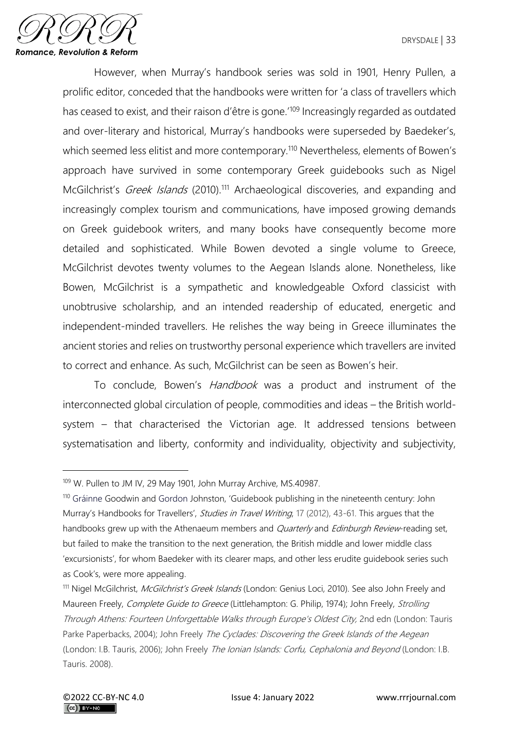

However, when Murray's handbook series was sold in 1901, Henry Pullen, a prolific editor, conceded that the handbooks were written for 'a class of travellers which has ceased to exist, and their raison d'être is gone.<sup>'109</sup> Increasingly regarded as outdated and over-literary and historical, Murray's handbooks were superseded by Baedeker's, which seemed less elitist and more contemporary.<sup>110</sup> Nevertheless, elements of Bowen's approach have survived in some contemporary Greek guidebooks such as Nigel McGilchrist's *Greek Islands* (2010).<sup>111</sup> Archaeological discoveries, and expanding and increasingly complex tourism and communications, have imposed growing demands on Greek guidebook writers, and many books have consequently become more detailed and sophisticated. While Bowen devoted a single volume to Greece, McGilchrist devotes twenty volumes to the Aegean Islands alone. Nonetheless, like Bowen, McGilchrist is a sympathetic and knowledgeable Oxford classicist with unobtrusive scholarship, and an intended readership of educated, energetic and independent-minded travellers. He relishes the way being in Greece illuminates the ancient stories and relies on trustworthy personal experience which travellers are invited to correct and enhance. As such, McGilchrist can be seen as Bowen's heir.

To conclude, Bowen's *Handbook* was a product and instrument of the interconnected global circulation of people, commodities and ideas – the British worldsystem – that characterised the Victorian age. It addressed tensions between systematisation and liberty, conformity and individuality, objectivity and subjectivity,

<sup>&</sup>lt;sup>109</sup> W. Pullen to JM IV, 29 May 1901, John Murray Archive, MS.40987.

<sup>110</sup> Gráinne Goodwin and Gordon Johnston, 'Guidebook publishing in the nineteenth century: John Murray's Handbooks for Travellers', *Studies in Travel Writing*, 17 (2012), 43-61. This argues that the handbooks grew up with the Athenaeum members and *Quarterly* and *Edinburgh Review*-reading set, but failed to make the transition to the next generation, the British middle and lower middle class 'excursionists', for whom Baedeker with its clearer maps, and other less erudite guidebook series such as Cook's, were more appealing.

<sup>&</sup>lt;sup>111</sup> Nigel McGilchrist, McGilchrist's Greek Islands (London: Genius Loci, 2010). See also John Freely and Maureen Freely, Complete Guide to Greece (Littlehampton: G. Philip, 1974); John Freely, Strolling Through Athens: Fourteen Unforgettable Walks through Europe's Oldest City, 2nd edn (London: Tauris Parke Paperbacks, 2004); John Freely The Cyclades: Discovering the Greek Islands of the Aegean (London: I.B. Tauris, 2006); John Freely The Ionian Islands: Corfu, Cephalonia and Beyond (London: I.B. Tauris. 2008).